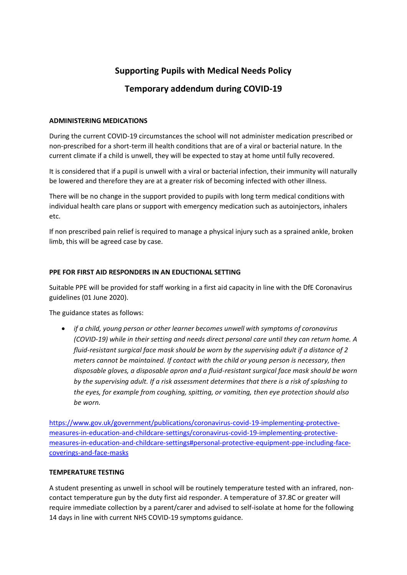# **Supporting Pupils with Medical Needs Policy**

## **Temporary addendum during COVID-19**

#### **ADMINISTERING MEDICATIONS**

During the current COVID-19 circumstances the school will not administer medication prescribed or non-prescribed for a short-term ill health conditions that are of a viral or bacterial nature. In the current climate if a child is unwell, they will be expected to stay at home until fully recovered.

It is considered that if a pupil is unwell with a viral or bacterial infection, their immunity will naturally be lowered and therefore they are at a greater risk of becoming infected with other illness.

There will be no change in the support provided to pupils with long term medical conditions with individual health care plans or support with emergency medication such as autoinjectors, inhalers etc.

If non prescribed pain relief is required to manage a physical injury such as a sprained ankle, broken limb, this will be agreed case by case.

### **PPE FOR FIRST AID RESPONDERS IN AN EDUCTIONAL SETTING**

Suitable PPE will be provided for staff working in a first aid capacity in line with the DfE Coronavirus guidelines (01 June 2020).

The guidance states as follows:

• *if a child, young person or other learner becomes unwell with symptoms of coronavirus (COVID-19) while in their setting and needs direct personal care until they can return home. A fluid-resistant surgical face mask should be worn by the supervising adult if a distance of 2 meters cannot be maintained. If contact with the child or young person is necessary, then disposable gloves, a disposable apron and a fluid-resistant surgical face mask should be worn by the supervising adult. If a risk assessment determines that there is a risk of splashing to the eyes, for example from coughing, spitting, or vomiting, then eye protection should also be worn.*

[https://www.gov.uk/government/publications/coronavirus-covid-19-implementing-protective](https://www.gov.uk/government/publications/coronavirus-covid-19-implementing-protective-measures-in-education-and-childcare-settings/coronavirus-covid-19-implementing-protective-measures-in-education-and-childcare-settings#personal-protective-equipment-ppe-including-face-coverings-and-face-masks)[measures-in-education-and-childcare-settings/coronavirus-covid-19-implementing-protective](https://www.gov.uk/government/publications/coronavirus-covid-19-implementing-protective-measures-in-education-and-childcare-settings/coronavirus-covid-19-implementing-protective-measures-in-education-and-childcare-settings#personal-protective-equipment-ppe-including-face-coverings-and-face-masks)[measures-in-education-and-childcare-settings#personal-protective-equipment-ppe-including-face](https://www.gov.uk/government/publications/coronavirus-covid-19-implementing-protective-measures-in-education-and-childcare-settings/coronavirus-covid-19-implementing-protective-measures-in-education-and-childcare-settings#personal-protective-equipment-ppe-including-face-coverings-and-face-masks)[coverings-and-face-masks](https://www.gov.uk/government/publications/coronavirus-covid-19-implementing-protective-measures-in-education-and-childcare-settings/coronavirus-covid-19-implementing-protective-measures-in-education-and-childcare-settings#personal-protective-equipment-ppe-including-face-coverings-and-face-masks)

#### **TEMPERATURE TESTING**

A student presenting as unwell in school will be routinely temperature tested with an infrared, noncontact temperature gun by the duty first aid responder. A temperature of 37.8C or greater will require immediate collection by a parent/carer and advised to self-isolate at home for the following 14 days in line with current NHS COVID-19 symptoms guidance.